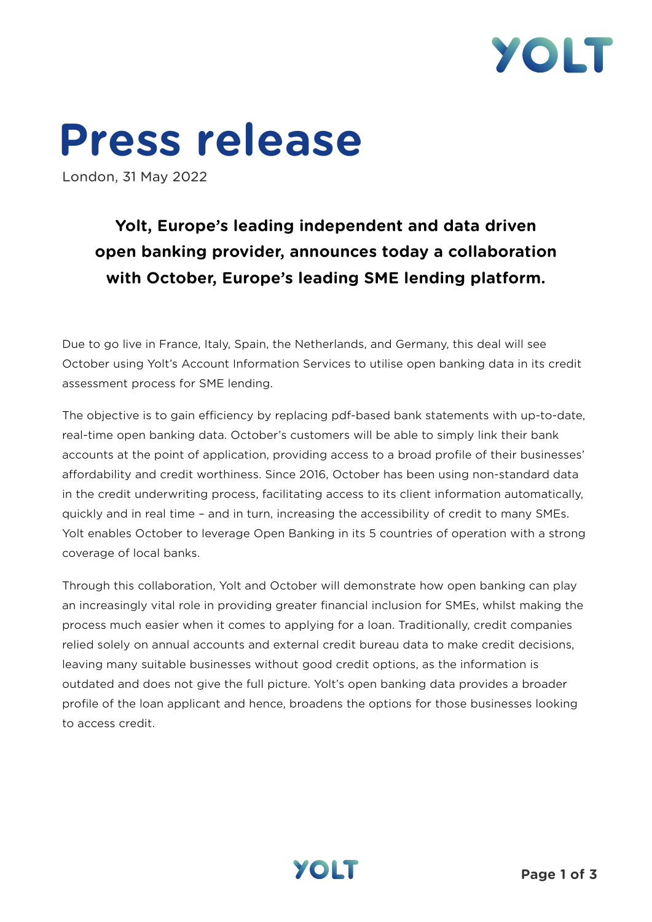

# **Press release**

London, 31 May 2022

## **Yolt, Europe's leading independent and data driven open banking provider, announces today a collaboration with October, Europe's leading SME lending platform.**

Due to go live in France, Italy, Spain, the Netherlands, and Germany, this deal will see October using Yolt's Account Information Services to utilise open banking data in its credit assessment process for SME lending.

The objective is to gain efficiency by replacing pdf-based bank statements with up-to-date, real-time open banking data. October's customers will be able to simply link their bank accounts at the point of application, providing access to a broad profile of their businesses' affordability and credit worthiness. Since 2016, October has been using non-standard data in the credit underwriting process, facilitating access to its client information automatically, quickly and in real time – and in turn, increasing the accessibility of credit to many SMEs. Yolt enables October to leverage Open Banking in its 5 countries of operation with a strong coverage of local banks.

Through this collaboration, Yolt and October will demonstrate how open banking can play an increasingly vital role in providing greater financial inclusion for SMEs, whilst making the process much easier when it comes to applying for a loan. Traditionally, credit companies relied solely on annual accounts and external credit bureau data to make credit decisions, leaving many suitable businesses without good credit options, as the information is outdated and does not give the full picture. Yolt's open banking data provides a broader profile of the loan applicant and hence, broadens the options for those businesses looking to access credit.

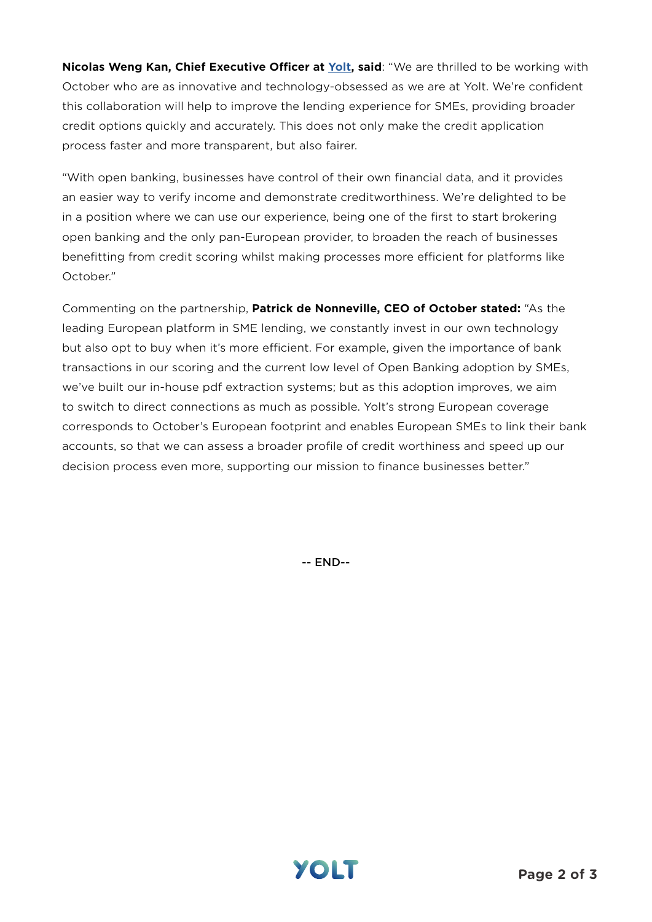**Nicolas Weng Kan, Chief Executive Officer at [Yolt,](https://www.yolt.com/) said**: "We are thrilled to be working with October who are as innovative and technology-obsessed as we are at Yolt. We're confident this collaboration will help to improve the lending experience for SMEs, providing broader credit options quickly and accurately. This does not only make the credit application process faster and more transparent, but also fairer.

"With open banking, businesses have control of their own financial data, and it provides an easier way to verify income and demonstrate creditworthiness. We're delighted to be in a position where we can use our experience, being one of the first to start brokering open banking and the only pan-European provider, to broaden the reach of businesses benefitting from credit scoring whilst making processes more efficient for platforms like October."

Commenting on the partnership, **Patrick de Nonneville, CEO of October stated:** "As the leading European platform in SME lending, we constantly invest in our own technology but also opt to buy when it's more efficient. For example, given the importance of bank transactions in our scoring and the current low level of Open Banking adoption by SMEs, we've built our in-house pdf extraction systems; but as this adoption improves, we aim to switch to direct connections as much as possible. Yolt's strong European coverage corresponds to October's European footprint and enables European SMEs to link their bank accounts, so that we can assess a broader profile of credit worthiness and speed up our decision process even more, supporting our mission to finance businesses better."

-- END--